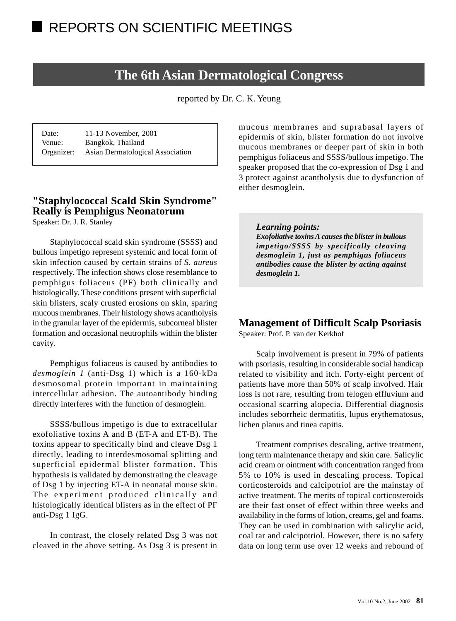# **The 6th Asian Dermatological Congress**

reported by Dr. C. K. Yeung

| Date:      | 11-13 November, 2001             |
|------------|----------------------------------|
| Venue:     | Bangkok, Thailand                |
| Organizer: | Asian Dermatological Association |

# **"Staphylococcal Scald Skin Syndrome" Really is Pemphigus Neonatorum**

Speaker: Dr. J. R. Stanley

Staphylococcal scald skin syndrome (SSSS) and bullous impetigo represent systemic and local form of skin infection caused by certain strains of *S. aureus* respectively. The infection shows close resemblance to pemphigus foliaceus (PF) both clinically and histologically. These conditions present with superficial skin blisters, scaly crusted erosions on skin, sparing mucous membranes. Their histology shows acantholysis in the granular layer of the epidermis, subcorneal blister formation and occasional neutrophils within the blister cavity.

Pemphigus foliaceus is caused by antibodies to *desmoglein 1* (anti-Dsg 1) which is a 160-kDa desmosomal protein important in maintaining intercellular adhesion. The autoantibody binding directly interferes with the function of desmoglein.

SSSS/bullous impetigo is due to extracellular exofoliative toxins A and B (ET-A and ET-B). The toxins appear to specifically bind and cleave Dsg 1 directly, leading to interdesmosomal splitting and superficial epidermal blister formation. This hypothesis is validated by demonstrating the cleavage of Dsg 1 by injecting ET-A in neonatal mouse skin. The experiment produced clinically and histologically identical blisters as in the effect of PF anti-Dsg 1 IgG.

In contrast, the closely related Dsg 3 was not cleaved in the above setting. As Dsg 3 is present in

mucous membranes and suprabasal layers of epidermis of skin, blister formation do not involve mucous membranes or deeper part of skin in both pemphigus foliaceus and SSSS/bullous impetigo. The speaker proposed that the co-expression of Dsg 1 and 3 protect against acantholysis due to dysfunction of either desmoglein.

#### *Learning points:*

*Exofoliative toxins A causes the blister in bullous impetigo/SSSS by specifically cleaving desmoglein 1, just as pemphigus foliaceus antibodies cause the blister by acting against desmoglein 1.*

# **Management of Difficult Scalp Psoriasis**

Speaker: Prof. P. van der Kerkhof

Scalp involvement is present in 79% of patients with psoriasis, resulting in considerable social handicap related to visibility and itch. Forty-eight percent of patients have more than 50% of scalp involved. Hair loss is not rare, resulting from telogen effluvium and occasional scarring alopecia. Differential diagnosis includes seborrheic dermatitis, lupus erythematosus, lichen planus and tinea capitis.

Treatment comprises descaling, active treatment, long term maintenance therapy and skin care. Salicylic acid cream or ointment with concentration ranged from 5% to 10% is used in descaling process. Topical corticosteroids and calcipotriol are the mainstay of active treatment. The merits of topical corticosteroids are their fast onset of effect within three weeks and availability in the forms of lotion, creams, gel and foams. They can be used in combination with salicylic acid, coal tar and calcipotriol. However, there is no safety data on long term use over 12 weeks and rebound of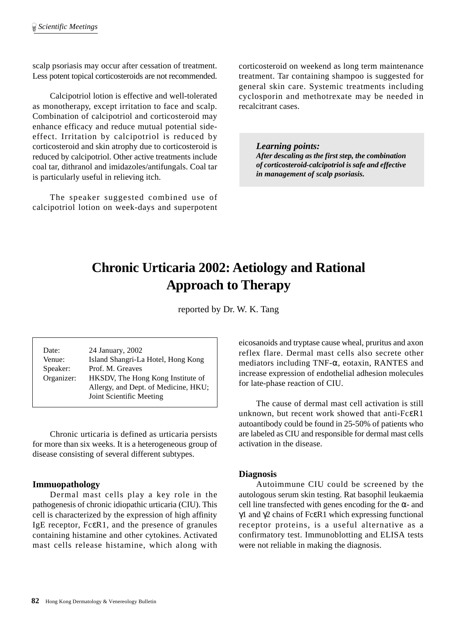scalp psoriasis may occur after cessation of treatment. Less potent topical corticosteroids are not recommended.

Calcipotriol lotion is effective and well-tolerated as monotherapy, except irritation to face and scalp. Combination of calcipotriol and corticosteroid may enhance efficacy and reduce mutual potential sideeffect. Irritation by calcipotriol is reduced by corticosteroid and skin atrophy due to corticosteroid is reduced by calcipotriol. Other active treatments include coal tar, dithranol and imidazoles/antifungals. Coal tar is particularly useful in relieving itch.

The speaker suggested combined use of calcipotriol lotion on week-days and superpotent corticosteroid on weekend as long term maintenance treatment. Tar containing shampoo is suggested for general skin care. Systemic treatments including cyclosporin and methotrexate may be needed in recalcitrant cases.

*Learning points: After descaling as the first step, the combination of corticosteroid-calcipotriol is safe and effective in management of scalp psoriasis.*

# **Chronic Urticaria 2002: Aetiology and Rational Approach to Therapy**

reported by Dr. W. K. Tang

Date: 24 January, 2002 Venue: Island Shangri-La Hotel, Hong Kong Speaker: Prof. M. Greaves Organizer: HKSDV, The Hong Kong Institute of Allergy, and Dept. of Medicine, HKU; Joint Scientific Meeting

Chronic urticaria is defined as urticaria persists for more than six weeks. It is a heterogeneous group of disease consisting of several different subtypes.

# **Immuopathology**

Dermal mast cells play a key role in the pathogenesis of chronic idiopathic urticaria (CIU). This cell is characterized by the expression of high affinity IgE receptor, FcεR1, and the presence of granules containing histamine and other cytokines. Activated mast cells release histamine, which along with eicosanoids and tryptase cause wheal, pruritus and axon reflex flare. Dermal mast cells also secrete other mediators including TNF-α, eotaxin, RANTES and increase expression of endothelial adhesion molecules for late-phase reaction of CIU.

The cause of dermal mast cell activation is still unknown, but recent work showed that anti-FcεR1 autoantibody could be found in 25-50% of patients who are labeled as CIU and responsible for dermal mast cells activation in the disease.

# **Diagnosis**

Autoimmune CIU could be screened by the autologous serum skin testing. Rat basophil leukaemia cell line transfected with genes encoding for the  $\alpha$ - and γ1 and γ2 chains of Fc $\epsilon$ R1 which expressing functional receptor proteins, is a useful alternative as a confirmatory test. Immunoblotting and ELISA tests were not reliable in making the diagnosis.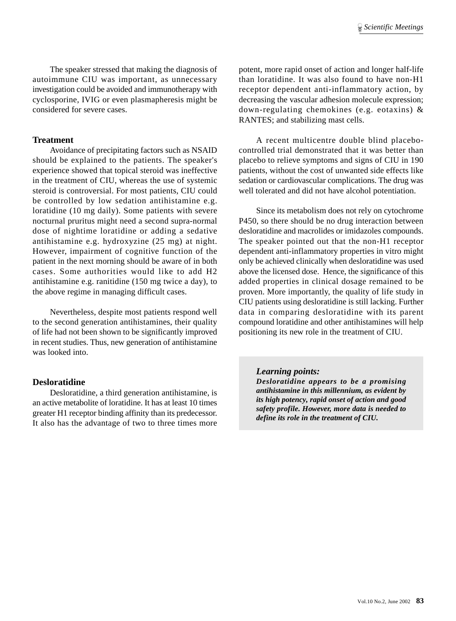The speaker stressed that making the diagnosis of autoimmune CIU was important, as unnecessary investigation could be avoided and immunotherapy with cyclosporine, IVIG or even plasmapheresis might be considered for severe cases.

### **Treatment**

Avoidance of precipitating factors such as NSAID should be explained to the patients. The speaker's experience showed that topical steroid was ineffective in the treatment of CIU, whereas the use of systemic steroid is controversial. For most patients, CIU could be controlled by low sedation antihistamine e.g. loratidine (10 mg daily). Some patients with severe nocturnal pruritus might need a second supra-normal dose of nightime loratidine or adding a sedative antihistamine e.g. hydroxyzine (25 mg) at night. However, impairment of cognitive function of the patient in the next morning should be aware of in both cases. Some authorities would like to add H2 antihistamine e.g. ranitidine (150 mg twice a day), to the above regime in managing difficult cases.

Nevertheless, despite most patients respond well to the second generation antihistamines, their quality of life had not been shown to be significantly improved in recent studies. Thus, new generation of antihistamine was looked into.

#### **Desloratidine**

Desloratidine, a third generation antihistamine, is an active metabolite of loratidine. It has at least 10 times greater H1 receptor binding affinity than its predecessor. It also has the advantage of two to three times more potent, more rapid onset of action and longer half-life than loratidine. It was also found to have non-H1 receptor dependent anti-inflammatory action, by decreasing the vascular adhesion molecule expression; down-regulating chemokines (e.g. eotaxins) & RANTES; and stabilizing mast cells.

A recent multicentre double blind placebocontrolled trial demonstrated that it was better than placebo to relieve symptoms and signs of CIU in 190 patients, without the cost of unwanted side effects like sedation or cardiovascular complications. The drug was well tolerated and did not have alcohol potentiation.

Since its metabolism does not rely on cytochrome P450, so there should be no drug interaction between desloratidine and macrolides or imidazoles compounds. The speaker pointed out that the non-H1 receptor dependent anti-inflammatory properties in vitro might only be achieved clinically when desloratidine was used above the licensed dose. Hence, the significance of this added properties in clinical dosage remained to be proven. More importantly, the quality of life study in CIU patients using desloratidine is still lacking. Further data in comparing desloratidine with its parent compound loratidine and other antihistamines will help positioning its new role in the treatment of CIU.

#### *Learning points:*

*Desloratidine appears to be a promising antihistamine in this millennium, as evident by its high potency, rapid onset of action and good safety profile. However, more data is needed to define its role in the treatment of CIU.*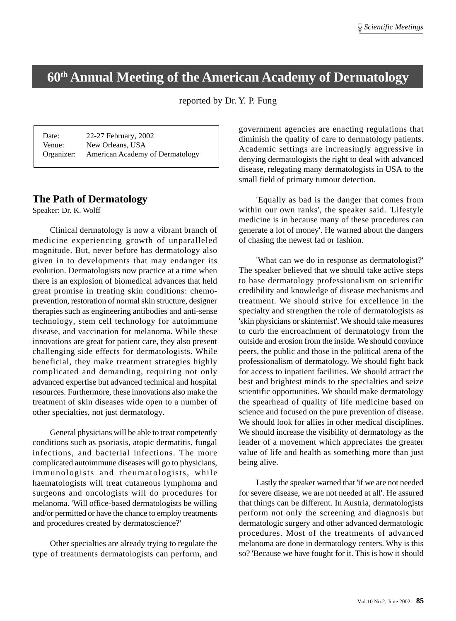# **60th Annual Meeting of the American Academy of Dermatology**

# reported by Dr. Y. P. Fung

Date: 22-27 February, 2002 Venue: New Orleans, USA Organizer: American Academy of Dermatology

# **The Path of Dermatology**

Speaker: Dr. K. Wolff

Clinical dermatology is now a vibrant branch of medicine experiencing growth of unparalleled magnitude. But, never before has dermatology also given in to developments that may endanger its evolution. Dermatologists now practice at a time when there is an explosion of biomedical advances that held great promise in treating skin conditions: chemoprevention, restoration of normal skin structure, designer therapies such as engineering antibodies and anti-sense technology, stem cell technology for autoimmune disease, and vaccination for melanoma. While these innovations are great for patient care, they also present challenging side effects for dermatologists. While beneficial, they make treatment strategies highly complicated and demanding, requiring not only advanced expertise but advanced technical and hospital resources. Furthermore, these innovations also make the treatment of skin diseases wide open to a number of other specialties, not just dermatology.

General physicians will be able to treat competently conditions such as psoriasis, atopic dermatitis, fungal infections, and bacterial infections. The more complicated autoimmune diseases will go to physicians, immunologists and rheumatologists, while haematologists will treat cutaneous lymphoma and surgeons and oncologists will do procedures for melanoma. 'Will office-based dermatologists be willing and/or permitted or have the chance to employ treatments and procedures created by dermatoscience?'

Other specialties are already trying to regulate the type of treatments dermatologists can perform, and government agencies are enacting regulations that diminish the quality of care to dermatology patients. Academic settings are increasingly aggressive in denying dermatologists the right to deal with advanced disease, relegating many dermatologists in USA to the small field of primary tumour detection.

'Equally as bad is the danger that comes from within our own ranks', the speaker said. 'Lifestyle medicine is in because many of these procedures can generate a lot of money'. He warned about the dangers of chasing the newest fad or fashion.

'What can we do in response as dermatologist?' The speaker believed that we should take active steps to base dermatology professionalism on scientific credibility and knowledge of disease mechanisms and treatment. We should strive for excellence in the specialty and strengthen the role of dermatologists as 'skin physicians or skinternist'. We should take measures to curb the encroachment of dermatology from the outside and erosion from the inside. We should convince peers, the public and those in the political arena of the professionalism of dermatology. We should fight back for access to inpatient facilities. We should attract the best and brightest minds to the specialties and seize scientific opportunities. We should make dermatology the spearhead of quality of life medicine based on science and focused on the pure prevention of disease. We should look for allies in other medical disciplines. We should increase the visibility of dermatology as the leader of a movement which appreciates the greater value of life and health as something more than just being alive.

Lastly the speaker warned that 'if we are not needed for severe disease, we are not needed at all'. He assured that things can be different. In Austria, dermatologists perform not only the screening and diagnosis but dermatologic surgery and other advanced dermatologic procedures. Most of the treatments of advanced melanoma are done in dermatology centers. Why is this so? 'Because we have fought for it. This is how it should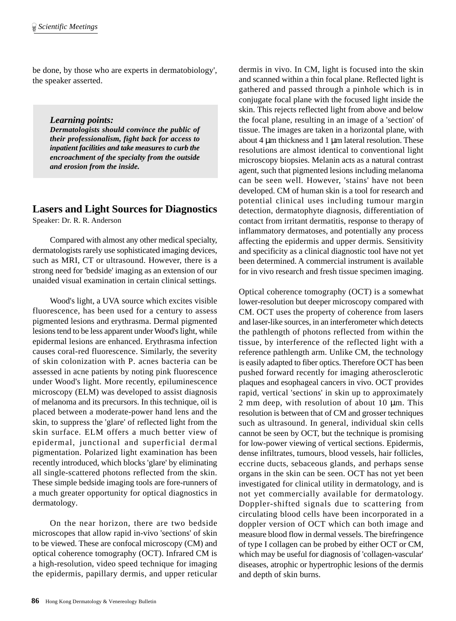be done, by those who are experts in dermatobiology', the speaker asserted.

*Learning points:*

*Dermatologists should convince the public of their professionalism, fight back for access to inpatient facilities and take measures to curb the encroachment of the specialty from the outside and erosion from the inside.*

# **Lasers and Light Sources for Diagnostics**

Speaker: Dr. R. R. Anderson

Compared with almost any other medical specialty, dermatologists rarely use sophisticated imaging devices, such as MRI, CT or ultrasound. However, there is a strong need for 'bedside' imaging as an extension of our unaided visual examination in certain clinical settings.

Wood's light, a UVA source which excites visible fluorescence, has been used for a century to assess pigmented lesions and erythrasma. Dermal pigmented lesions tend to be less apparent under Wood's light, while epidermal lesions are enhanced. Erythrasma infection causes coral-red fluorescence. Similarly, the severity of skin colonization with P. acnes bacteria can be assessed in acne patients by noting pink fluorescence under Wood's light. More recently, epiluminescence microscopy (ELM) was developed to assist diagnosis of melanoma and its precursors. In this technique, oil is placed between a moderate-power hand lens and the skin, to suppress the 'glare' of reflected light from the skin surface. ELM offers a much better view of epidermal, junctional and superficial dermal pigmentation. Polarized light examination has been recently introduced, which blocks 'glare' by eliminating all single-scattered photons reflected from the skin. These simple bedside imaging tools are fore-runners of a much greater opportunity for optical diagnostics in dermatology.

On the near horizon, there are two bedside microscopes that allow rapid in-vivo 'sections' of skin to be viewed. These are confocal microscopy (CM) and optical coherence tomography (OCT). Infrared CM is a high-resolution, video speed technique for imaging the epidermis, papillary dermis, and upper reticular dermis in vivo. In CM, light is focused into the skin and scanned within a thin focal plane. Reflected light is gathered and passed through a pinhole which is in conjugate focal plane with the focused light inside the skin. This rejects reflected light from above and below the focal plane, resulting in an image of a 'section' of tissue. The images are taken in a horizontal plane, with about 4 µm thickness and 1 µm lateral resolution. These resolutions are almost identical to conventional light microscopy biopsies. Melanin acts as a natural contrast agent, such that pigmented lesions including melanoma can be seen well. However, 'stains' have not been developed. CM of human skin is a tool for research and potential clinical uses including tumour margin detection, dermatophyte diagnosis, differentiation of contact from irritant dermatitis, response to therapy of inflammatory dermatoses, and potentially any process affecting the epidermis and upper dermis. Sensitivity and specificity as a clinical diagnostic tool have not yet been determined. A commercial instrument is available for in vivo research and fresh tissue specimen imaging.

Optical coherence tomography (OCT) is a somewhat lower-resolution but deeper microscopy compared with CM. OCT uses the property of coherence from lasers and laser-like sources, in an interferometer which detects the pathlength of photons reflected from within the tissue, by interference of the reflected light with a reference pathlength arm. Unlike CM, the technology is easily adapted to fiber optics. Therefore OCT has been pushed forward recently for imaging atherosclerotic plaques and esophageal cancers in vivo. OCT provides rapid, vertical 'sections' in skin up to approximately 2 mm deep, with resolution of about 10 µm. This resolution is between that of CM and grosser techniques such as ultrasound. In general, individual skin cells cannot be seen by OCT, but the technique is promising for low-power viewing of vertical sections. Epidermis, dense infiltrates, tumours, blood vessels, hair follicles, eccrine ducts, sebaceous glands, and perhaps sense organs in the skin can be seen. OCT has not yet been investigated for clinical utility in dermatology, and is not yet commercially available for dermatology. Doppler-shifted signals due to scattering from circulating blood cells have been incorporated in a doppler version of OCT which can both image and measure blood flow in dermal vessels. The birefringence of type I collagen can be probed by either OCT or CM, which may be useful for diagnosis of 'collagen-vascular' diseases, atrophic or hypertrophic lesions of the dermis and depth of skin burns.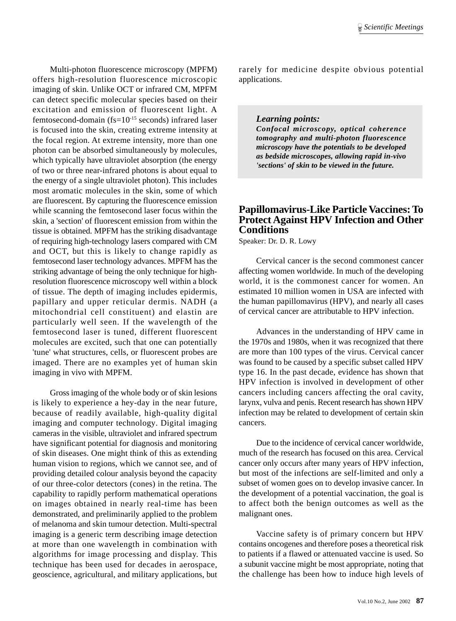Multi-photon fluorescence microscopy (MPFM) offers high-resolution fluorescence microscopic imaging of skin. Unlike OCT or infrared CM, MPFM can detect specific molecular species based on their excitation and emission of fluorescent light. A femtosecond-domain ( $fs=10^{-15}$  seconds) infrared laser is focused into the skin, creating extreme intensity at the focal region. At extreme intensity, more than one photon can be absorbed simultaneously by molecules, which typically have ultraviolet absorption (the energy of two or three near-infrared photons is about equal to the energy of a single ultraviolet photon). This includes most aromatic molecules in the skin, some of which are fluorescent. By capturing the fluorescence emission while scanning the femtosecond laser focus within the skin, a 'section' of fluorescent emission from within the tissue is obtained. MPFM has the striking disadvantage of requiring high-technology lasers compared with CM and OCT, but this is likely to change rapidly as femtosecond laser technology advances. MPFM has the striking advantage of being the only technique for highresolution fluorescence microscopy well within a block of tissue. The depth of imaging includes epidermis, papillary and upper reticular dermis. NADH (a mitochondrial cell constituent) and elastin are particularly well seen. If the wavelength of the femtosecond laser is tuned, different fluorescent molecules are excited, such that one can potentially 'tune' what structures, cells, or fluorescent probes are imaged. There are no examples yet of human skin imaging in vivo with MPFM.

Gross imaging of the whole body or of skin lesions is likely to experience a hey-day in the near future, because of readily available, high-quality digital imaging and computer technology. Digital imaging cameras in the visible, ultraviolet and infrared spectrum have significant potential for diagnosis and monitoring of skin diseases. One might think of this as extending human vision to regions, which we cannot see, and of providing detailed colour analysis beyond the capacity of our three-color detectors (cones) in the retina. The capability to rapidly perform mathematical operations on images obtained in nearly real-time has been demonstrated, and preliminarily applied to the problem of melanoma and skin tumour detection. Multi-spectral imaging is a generic term describing image detection at more than one wavelength in combination with algorithms for image processing and display. This technique has been used for decades in aerospace, geoscience, agricultural, and military applications, but

rarely for medicine despite obvious potential applications.

#### *Learning points:*

*Confocal microscopy, optical coherence tomography and multi-photon fluorescence microscopy have the potentials to be developed as bedside microscopes, allowing rapid in-vivo 'sections' of skin to be viewed in the future.*

# **Papillomavirus-Like Particle Vaccines: To Protect Against HPV Infection and Other Conditions**

Speaker: Dr. D. R. Lowy

Cervical cancer is the second commonest cancer affecting women worldwide. In much of the developing world, it is the commonest cancer for women. An estimated 10 million women in USA are infected with the human papillomavirus (HPV), and nearly all cases of cervical cancer are attributable to HPV infection.

Advances in the understanding of HPV came in the 1970s and 1980s, when it was recognized that there are more than 100 types of the virus. Cervical cancer was found to be caused by a specific subset called HPV type 16. In the past decade, evidence has shown that HPV infection is involved in development of other cancers including cancers affecting the oral cavity, larynx, vulva and penis. Recent research has shown HPV infection may be related to development of certain skin cancers.

Due to the incidence of cervical cancer worldwide, much of the research has focused on this area. Cervical cancer only occurs after many years of HPV infection, but most of the infections are self-limited and only a subset of women goes on to develop invasive cancer. In the development of a potential vaccination, the goal is to affect both the benign outcomes as well as the malignant ones.

Vaccine safety is of primary concern but HPV contains oncogenes and therefore poses a theoretical risk to patients if a flawed or attenuated vaccine is used. So a subunit vaccine might be most appropriate, noting that the challenge has been how to induce high levels of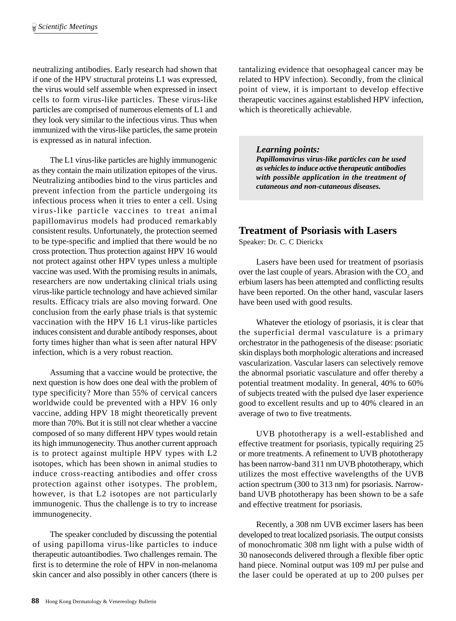neutralizing antibodies. Early research had shown that if one of the HPV structural proteins L1 was expressed, the virus would self assemble when expressed in insect cells to form virus-like particles. These virus-like particles are comprised of numerous elements of L1 and they look very similar to the infectious virus. Thus when immunized with the virus-like particles, the same protein is expressed as in natural infection.

The L1 virus-like particles are highly immunogenic as they contain the main utilization epitopes of the virus. Neutralizing antibodies bind to the virus particles and prevent infection from the particle undergoing its infectious process when it tries to enter a cell. Using virus-like particle vaccines to treat animal papillomavirus models had produced remarkably consistent results. Unfortunately, the protection seemed to be type-specific and implied that there would be no cross protection. Thus protection against HPV 16 would not protect against other HPV types unless a multiple vaccine was used. With the promising results in animals, researchers are now undertaking clinical trials using virus-like particle technology and have achieved similar results. Efficacy trials are also moving forward. One conclusion from the early phase trials is that systemic vaccination with the HPV 16 L1 virus-like particles induces consistent and durable antibody responses, about forty times higher than what is seen after natural HPV infection, which is a very robust reaction.

Assuming that a vaccine would be protective, the next question is how does one deal with the problem of type specificity? More than 55% of cervical cancers worldwide could be prevented with a HPV 16 only vaccine, adding HPV 18 might theoretically prevent more than 70%. But it is still not clear whether a vaccine composed of so many different HPV types would retain its high immunogenecity. Thus another current approach is to protect against multiple HPV types with L2 isotopes, which has been shown in animal studies to induce cross-reacting antibodies and offer cross protection against other isotypes. The problem, however, is that L2 isotopes are not particularly immunogenic. Thus the challenge is to try to increase immunogenecity.

The speaker concluded by discussing the potential of using papilloma virus-like particles to induce therapeutic autoantibodies. Two challenges remain. The first is to determine the role of HPV in non-melanoma skin cancer and also possibly in other cancers (there is

tantalizing evidence that oesophageal cancer may be related to HPV infection). Secondly, from the clinical point of view, it is important to develop effective therapeutic vaccines against established HPV infection, which is theoretically achievable.

*Learning points:*

*Papillomavirus virus-like particles can be used as vehicles to induce active therapeutic antibodies with possible application in the treatment of cutaneous and non-cutaneous diseases.*

# **Treatment of Psoriasis with Lasers**

Speaker: Dr. C. C Dierickx

Lasers have been used for treatment of psoriasis over the last couple of years. Abrasion with the  $CO<sub>2</sub>$  and erbium lasers has been attempted and conflicting results have been reported. On the other hand, vascular lasers have been used with good results.

Whatever the etiology of psoriasis, it is clear that the superficial dermal vasculature is a primary orchestrator in the pathogenesis of the disease: psoriatic skin displays both morphologic alterations and increased vascularization. Vascular lasers can selectively remove the abnormal psoriatic vasculature and offer thereby a potential treatment modality. In general, 40% to 60% of subjects treated with the pulsed dye laser experience good to excellent results and up to 40% cleared in an average of two to five treatments.

UVB phototherapy is a well-established and effective treatment for psoriasis, typically requiring 25 or more treatments. A refinement to UVB phototherapy has been narrow-band 311 nm UVB phototherapy, which utilizes the most effective wavelengths of the UVB action spectrum (300 to 313 nm) for psoriasis. Narrowband UVB phototherapy has been shown to be a safe and effective treatment for psoriasis.

Recently, a 308 nm UVB excimer lasers has been developed to treat localized psoriasis. The output consists of monochromatic 308 nm light with a pulse width of 30 nanoseconds delivered through a flexible fiber optic hand piece. Nominal output was 109 mJ per pulse and the laser could be operated at up to 200 pulses per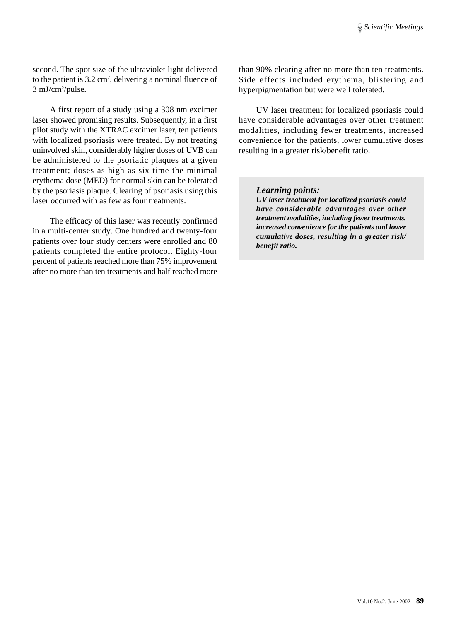second. The spot size of the ultraviolet light delivered to the patient is 3.2 cm<sup>2</sup>, delivering a nominal fluence of 3 mJ/cm2 /pulse.

A first report of a study using a 308 nm excimer laser showed promising results. Subsequently, in a first pilot study with the XTRAC excimer laser, ten patients with localized psoriasis were treated. By not treating uninvolved skin, considerably higher doses of UVB can be administered to the psoriatic plaques at a given treatment; doses as high as six time the minimal erythema dose (MED) for normal skin can be tolerated by the psoriasis plaque. Clearing of psoriasis using this laser occurred with as few as four treatments.

The efficacy of this laser was recently confirmed in a multi-center study. One hundred and twenty-four patients over four study centers were enrolled and 80 patients completed the entire protocol. Eighty-four percent of patients reached more than 75% improvement after no more than ten treatments and half reached more than 90% clearing after no more than ten treatments. Side effects included erythema, blistering and hyperpigmentation but were well tolerated.

UV laser treatment for localized psoriasis could have considerable advantages over other treatment modalities, including fewer treatments, increased convenience for the patients, lower cumulative doses resulting in a greater risk/benefit ratio.

#### *Learning points:*

*UV laser treatment for localized psoriasis could have considerable advantages over other treatment modalities, including fewer treatments, increased convenience for the patients and lower cumulative doses, resulting in a greater risk/ benefit ratio.*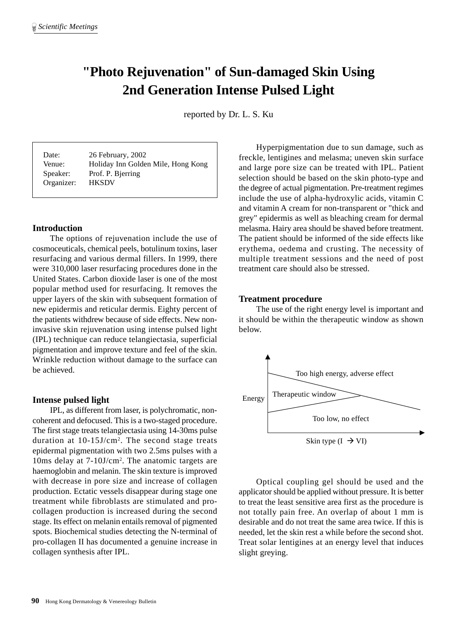# **"Photo Rejuvenation" of Sun-damaged Skin Using 2nd Generation Intense Pulsed Light**

reported by Dr. L. S. Ku

Organizer: HKSDV

Date: 26 February, 2002 Venue: Holiday Inn Golden Mile, Hong Kong Speaker: Prof. P. Bjerring

# **Introduction**

The options of rejuvenation include the use of cosmoceuticals, chemical peels, botulinum toxins, laser resurfacing and various dermal fillers. In 1999, there were 310,000 laser resurfacing procedures done in the United States. Carbon dioxide laser is one of the most popular method used for resurfacing. It removes the upper layers of the skin with subsequent formation of new epidermis and reticular dermis. Eighty percent of the patients withdrew because of side effects. New noninvasive skin rejuvenation using intense pulsed light (IPL) technique can reduce telangiectasia, superficial pigmentation and improve texture and feel of the skin. Wrinkle reduction without damage to the surface can be achieved.

#### **Intense pulsed light**

IPL, as different from laser, is polychromatic, noncoherent and defocused. This is a two-staged procedure. The first stage treats telangiectasia using 14-30ms pulse duration at 10-15J/cm2 . The second stage treats epidermal pigmentation with two 2.5ms pulses with a 10ms delay at 7-10J/cm2 . The anatomic targets are haemoglobin and melanin. The skin texture is improved with decrease in pore size and increase of collagen production. Ectatic vessels disappear during stage one treatment while fibroblasts are stimulated and procollagen production is increased during the second stage. Its effect on melanin entails removal of pigmented spots. Biochemical studies detecting the N-terminal of pro-collagen II has documented a genuine increase in collagen synthesis after IPL.

Hyperpigmentation due to sun damage, such as freckle, lentigines and melasma; uneven skin surface and large pore size can be treated with IPL. Patient selection should be based on the skin photo-type and the degree of actual pigmentation. Pre-treatment regimes include the use of alpha-hydroxylic acids, vitamin C and vitamin A cream for non-transparent or "thick and grey" epidermis as well as bleaching cream for dermal melasma. Hairy area should be shaved before treatment. The patient should be informed of the side effects like erythema, oedema and crusting. The necessity of multiple treatment sessions and the need of post treatment care should also be stressed.

#### **Treatment procedure**

The use of the right energy level is important and it should be within the therapeutic window as shown below.



Optical coupling gel should be used and the applicator should be applied without pressure. It is better to treat the least sensitive area first as the procedure is not totally pain free. An overlap of about 1 mm is desirable and do not treat the same area twice. If this is needed, let the skin rest a while before the second shot. Treat solar lentigines at an energy level that induces slight greying.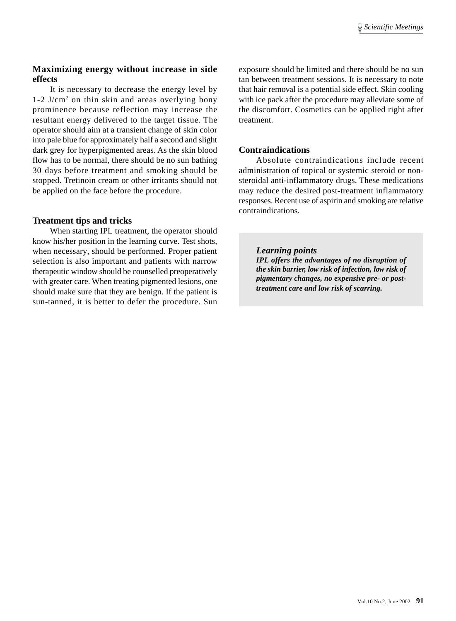# **Maximizing energy without increase in side effects**

It is necessary to decrease the energy level by 1-2 J/cm2 on thin skin and areas overlying bony prominence because reflection may increase the resultant energy delivered to the target tissue. The operator should aim at a transient change of skin color into pale blue for approximately half a second and slight dark grey for hyperpigmented areas. As the skin blood flow has to be normal, there should be no sun bathing 30 days before treatment and smoking should be stopped. Tretinoin cream or other irritants should not be applied on the face before the procedure.

# **Treatment tips and tricks**

When starting IPL treatment, the operator should know his/her position in the learning curve. Test shots, when necessary, should be performed. Proper patient selection is also important and patients with narrow therapeutic window should be counselled preoperatively with greater care. When treating pigmented lesions, one should make sure that they are benign. If the patient is sun-tanned, it is better to defer the procedure. Sun exposure should be limited and there should be no sun tan between treatment sessions. It is necessary to note that hair removal is a potential side effect. Skin cooling with ice pack after the procedure may alleviate some of the discomfort. Cosmetics can be applied right after treatment.

# **Contraindications**

Absolute contraindications include recent administration of topical or systemic steroid or nonsteroidal anti-inflammatory drugs. These medications may reduce the desired post-treatment inflammatory responses. Recent use of aspirin and smoking are relative contraindications.

# *Learning points*

*IPL offers the advantages of no disruption of the skin barrier, low risk of infection, low risk of pigmentary changes, no expensive pre- or posttreatment care and low risk of scarring.*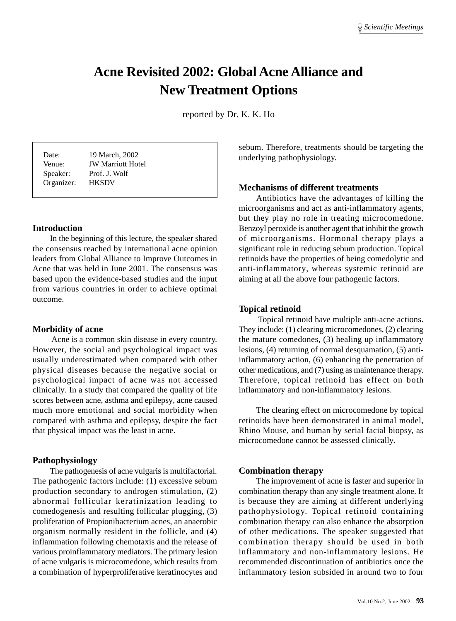# **Acne Revisited 2002: Global Acne Alliance and New Treatment Options**

reported by Dr. K. K. Ho

Organizer: HKSDV

Date: 19 March, 2002 Venue: JW Marriott Hotel Speaker: Prof. J. Wolf

# **Introduction**

In the beginning of this lecture, the speaker shared the consensus reached by international acne opinion leaders from Global Alliance to Improve Outcomes in Acne that was held in June 2001. The consensus was based upon the evidence-based studies and the input from various countries in order to achieve optimal outcome.

#### **Morbidity of acne**

 Acne is a common skin disease in every country. However, the social and psychological impact was usually underestimated when compared with other physical diseases because the negative social or psychological impact of acne was not accessed clinically. In a study that compared the quality of life scores between acne, asthma and epilepsy, acne caused much more emotional and social morbidity when compared with asthma and epilepsy, despite the fact that physical impact was the least in acne.

# **Pathophysiology**

The pathogenesis of acne vulgaris is multifactorial. The pathogenic factors include: (1) excessive sebum production secondary to androgen stimulation, (2) abnormal follicular keratinization leading to comedogenesis and resulting follicular plugging, (3) proliferation of Propionibacterium acnes, an anaerobic organism normally resident in the follicle, and (4) inflammation following chemotaxis and the release of various proinflammatory mediators. The primary lesion of acne vulgaris is microcomedone, which results from a combination of hyperproliferative keratinocytes and

sebum. Therefore, treatments should be targeting the underlying pathophysiology.

### **Mechanisms of different treatments**

Antibiotics have the advantages of killing the microorganisms and act as anti-inflammatory agents, but they play no role in treating microcomedone. Benzoyl peroxide is another agent that inhibit the growth of microorganisms. Hormonal therapy plays a significant role in reducing sebum production. Topical retinoids have the properties of being comedolytic and anti-inflammatory, whereas systemic retinoid are aiming at all the above four pathogenic factors.

#### **Topical retinoid**

 Topical retinoid have multiple anti-acne actions. They include: (1) clearing microcomedones, (2) clearing the mature comedones, (3) healing up inflammatory lesions, (4) returning of normal desquamation, (5) antiinflammatory action, (6) enhancing the penetration of other medications, and (7) using as maintenance therapy. Therefore, topical retinoid has effect on both inflammatory and non-inflammatory lesions.

The clearing effect on microcomedone by topical retinoids have been demonstrated in animal model, Rhino Mouse, and human by serial facial biopsy, as microcomedone cannot be assessed clinically.

#### **Combination therapy**

The improvement of acne is faster and superior in combination therapy than any single treatment alone. It is because they are aiming at different underlying pathophysiology. Topical retinoid containing combination therapy can also enhance the absorption of other medications. The speaker suggested that combination therapy should be used in both inflammatory and non-inflammatory lesions. He recommended discontinuation of antibiotics once the inflammatory lesion subsided in around two to four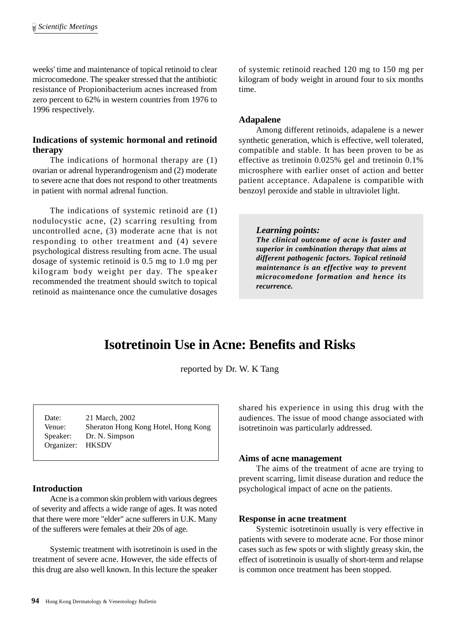weeks' time and maintenance of topical retinoid to clear microcomedone. The speaker stressed that the antibiotic resistance of Propionibacterium acnes increased from zero percent to 62% in western countries from 1976 to 1996 respectively.

# **Indications of systemic hormonal and retinoid therapy**

The indications of hormonal therapy are (1) ovarian or adrenal hyperandrogenism and (2) moderate to severe acne that does not respond to other treatments in patient with normal adrenal function.

The indications of systemic retinoid are (1) nodulocystic acne, (2) scarring resulting from uncontrolled acne, (3) moderate acne that is not responding to other treatment and (4) severe psychological distress resulting from acne. The usual dosage of systemic retinoid is 0.5 mg to 1.0 mg per kilogram body weight per day. The speaker recommended the treatment should switch to topical retinoid as maintenance once the cumulative dosages

of systemic retinoid reached 120 mg to 150 mg per kilogram of body weight in around four to six months time.

### **Adapalene**

Among different retinoids, adapalene is a newer synthetic generation, which is effective, well tolerated, compatible and stable. It has been proven to be as effective as tretinoin 0.025% gel and tretinoin 0.1% microsphere with earlier onset of action and better patient acceptance. Adapalene is compatible with benzoyl peroxide and stable in ultraviolet light.

#### *Learning points:*

*The clinical outcome of acne is faster and superior in combination therapy that aims at different pathogenic factors. Topical retinoid maintenance is an effective way to prevent microcomedone formation and hence its recurrence.*

# **Isotretinoin Use in Acne: Benefits and Risks**

reported by Dr. W. K Tang

| Date:            | 21 March, 2002                      |
|------------------|-------------------------------------|
| Venue:           | Sheraton Hong Kong Hotel, Hong Kong |
| Speaker:         | Dr. N. Simpson                      |
| Organizer: HKSDV |                                     |

# **Introduction**

Acne is a common skin problem with various degrees of severity and affects a wide range of ages. It was noted that there were more "elder" acne sufferers in U.K. Many of the sufferers were females at their 20s of age.

Systemic treatment with isotretinoin is used in the treatment of severe acne. However, the side effects of this drug are also well known. In this lecture the speaker shared his experience in using this drug with the audiences. The issue of mood change associated with isotretinoin was particularly addressed.

#### **Aims of acne management**

The aims of the treatment of acne are trying to prevent scarring, limit disease duration and reduce the psychological impact of acne on the patients.

#### **Response in acne treatment**

Systemic isotretinoin usually is very effective in patients with severe to moderate acne. For those minor cases such as few spots or with slightly greasy skin, the effect of isotretinoin is usually of short-term and relapse is common once treatment has been stopped.